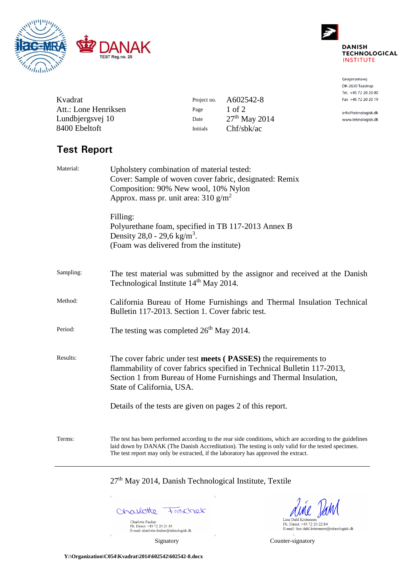



Gregersensvej DK-2630 Taastrup Tel. +45 72 20 20 00 Fax +45 72 20 20 19

info@teknologisk.dk www.teknologisk.dk

| Kvadrat              | Project no. | A602542-8       |
|----------------------|-------------|-----------------|
| Att.: Lone Henriksen | Page        | $1$ of $2$      |
| Lundbjergsvej 10     | Date        | $27th$ May 2014 |
| 8400 Ebeltoft        | Initials    | Chf/sbk/ac      |

# **Test Report**

| Material: | Upholstery combination of material tested:<br>Cover: Sample of woven cover fabric, designated: Remix<br>Composition: 90% New wool, 10% Nylon<br>Approx. mass pr. unit area: $310 \text{ g/m}^2$                                                                                                     |  |  |  |
|-----------|-----------------------------------------------------------------------------------------------------------------------------------------------------------------------------------------------------------------------------------------------------------------------------------------------------|--|--|--|
|           | Filling:<br>Polyurethane foam, specified in TB 117-2013 Annex B<br>Density 28,0 - 29,6 kg/m <sup>3</sup> .<br>(Foam was delivered from the institute)                                                                                                                                               |  |  |  |
| Sampling: | The test material was submitted by the assignor and received at the Danish<br>Technological Institute 14 <sup>th</sup> May 2014.                                                                                                                                                                    |  |  |  |
| Method:   | California Bureau of Home Furnishings and Thermal Insulation Technical<br>Bulletin 117-2013. Section 1. Cover fabric test.                                                                                                                                                                          |  |  |  |
| Period:   | The testing was completed $26th$ May 2014.                                                                                                                                                                                                                                                          |  |  |  |
| Results:  | The cover fabric under test meets (PASSES) the requirements to<br>flammability of cover fabrics specified in Technical Bulletin 117-2013,<br>Section 1 from Bureau of Home Furnishings and Thermal Insulation,<br>State of California, USA.                                                         |  |  |  |
|           | Details of the tests are given on pages 2 of this report.                                                                                                                                                                                                                                           |  |  |  |
| Terms:    | The test has been performed according to the rear side conditions, which are according to the guidelines<br>laid down by DANAK (The Danish Accreditation). The testing is only valid for the tested specimen.<br>The test report may only be extracted, if the laboratory has approved the extract. |  |  |  |

27<sup>th</sup> May 2014, Danish Technological Institute, Textile

Charlotte Frecher Charlotte Fischer<br>Ph. Direct: +45 72 20 21 35<br>E-mail: charlotte.fischer@teknologisk.dk

Line Dahl Kristensen<br>Ph. Direct: +45 72 20 22 84<br>E-mail: line.dahl.kristensen@teknologisk.dk

F

Signatory Counter-signatory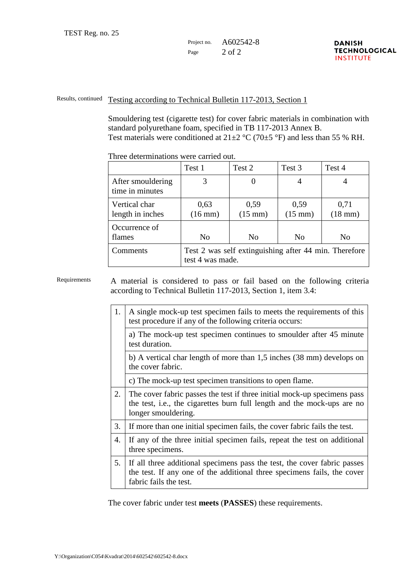#### Project no. A602542-8 Page  $2$  of  $2$

#### Results, continued Testing according to Technical Bulletin 117-2013, Section 1

Smouldering test (cigarette test) for cover fabric materials in combination with standard polyurethane foam, specified in TB 117-2013 Annex B. Test materials were conditioned at  $21\pm2$  °C (70 $\pm$ 5 °F) and less than 55 % RH.

|                                      | Test 1                                                                    | Test 2                    | Test 3                    | Test 4               |
|--------------------------------------|---------------------------------------------------------------------------|---------------------------|---------------------------|----------------------|
| After smouldering<br>time in minutes | 3                                                                         |                           |                           |                      |
| Vertical char<br>length in inches    | 0,63<br>$(16$ mm $)$                                                      | 0,59<br>$(15 \text{ mm})$ | 0,59<br>$(15 \text{ mm})$ | 0,71<br>$(18$ mm $)$ |
| Occurrence of<br>flames              | N <sub>0</sub>                                                            | N <sub>0</sub>            | N <sub>0</sub>            | No                   |
| Comments                             | Test 2 was self extinguishing after 44 min. Therefore<br>test 4 was made. |                           |                           |                      |

Three determinations were carried out.

Requirements A material is considered to pass or fail based on the following criteria according to Technical Bulletin 117-2013, Section 1, item 3.4:

| 1. | A single mock-up test specimen fails to meets the requirements of this<br>test procedure if any of the following criteria occurs:                                             |
|----|-------------------------------------------------------------------------------------------------------------------------------------------------------------------------------|
|    | a) The mock-up test specimen continues to smoulder after 45 minute<br>test duration.                                                                                          |
|    | b) A vertical char length of more than 1,5 inches (38 mm) develops on<br>the cover fabric.                                                                                    |
|    | c) The mock-up test specimen transitions to open flame.                                                                                                                       |
| 2. | The cover fabric passes the test if three initial mock-up specimens pass<br>the test, i.e., the cigarettes burn full length and the mock-ups are no<br>longer smouldering.    |
| 3. | If more than one initial specimen fails, the cover fabric fails the test.                                                                                                     |
| 4. | If any of the three initial specimen fails, repeat the test on additional<br>three specimens.                                                                                 |
| 5. | If all three additional specimens pass the test, the cover fabric passes<br>the test. If any one of the additional three specimens fails, the cover<br>fabric fails the test. |

The cover fabric under test **meets** (**PASSES**) these requirements.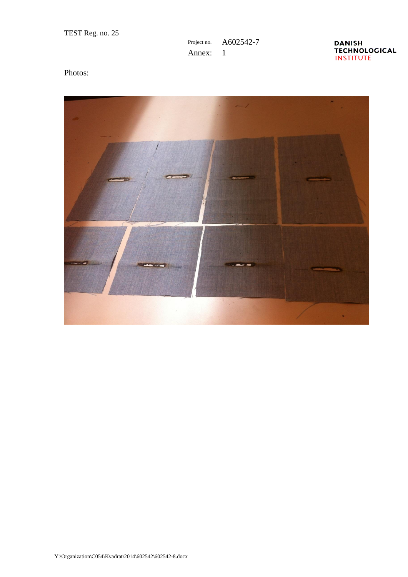## Project no. A602542-7 Annex: 1



## Photos: